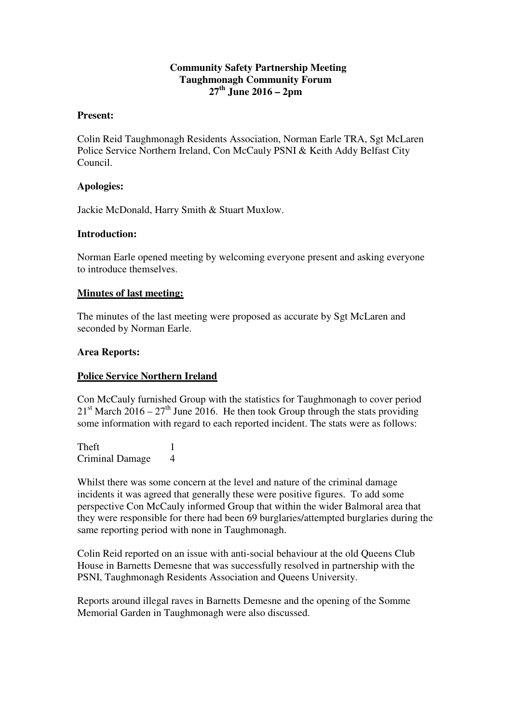### **Community Safety Partnership Meeting Taughmonagh Community Forum 27th June 2016 – 2pm**

#### **Present:**

Colin Reid Taughmonagh Residents Association, Norman Earle TRA, Sgt McLaren Police Service Northern Ireland, Con McCauly PSNI & Keith Addy Belfast City Council.

#### **Apologies:**

Jackie McDonald, Harry Smith & Stuart Muxlow.

#### **Introduction:**

Norman Earle opened meeting by welcoming everyone present and asking everyone to introduce themselves.

#### **Minutes of last meeting:**

The minutes of the last meeting were proposed as accurate by Sgt McLaren and seconded by Norman Earle.

#### **Area Reports:**

#### **Police Service Northern Ireland**

Con McCauly furnished Group with the statistics for Taughmonagh to cover period  $21<sup>st</sup>$  March  $2016 - 27<sup>th</sup>$  June 2016. He then took Group through the stats providing some information with regard to each reported incident. The stats were as follows:

Theft 1 Criminal Damage 4

Whilst there was some concern at the level and nature of the criminal damage incidents it was agreed that generally these were positive figures. To add some perspective Con McCauly informed Group that within the wider Balmoral area that they were responsible for there had been 69 burglaries/attempted burglaries during the same reporting period with none in Taughmonagh.

Colin Reid reported on an issue with anti-social behaviour at the old Queens Club House in Barnetts Demesne that was successfully resolved in partnership with the PSNI, Taughmonagh Residents Association and Queens University.

Reports around illegal raves in Barnetts Demesne and the opening of the Somme Memorial Garden in Taughmonagh were also discussed.